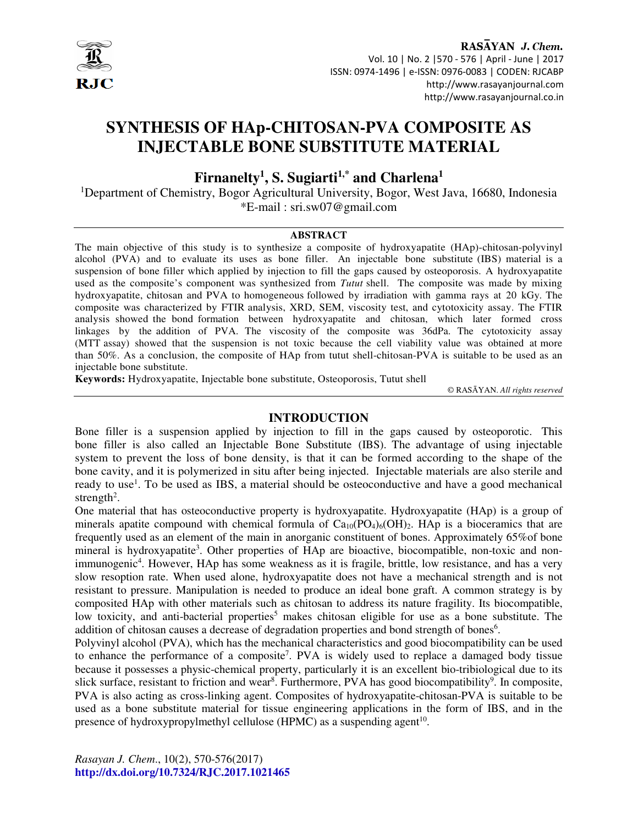

RASAYAN J. Chem. Vol. 10 | No. 2 |570 - 576 | April - June | 2017 ISSN: 0974-1496 | e-ISSN: 0976-0083 | CODEN: RJCABP http://www.rasayanjournal.com http://www.rasayanjournal.co.in

# **SYNTHESIS OF HAp-CHITOSAN-PVA COMPOSITE AS INJECTABLE BONE SUBSTITUTE MATERIAL**

# **Firnanelty<sup>1</sup> , S. Sugiarti1,\* and Charlena<sup>1</sup>**

<sup>1</sup>Department of Chemistry, Bogor Agricultural University, Bogor, West Java, 16680, Indonesia \*E-mail : sri.sw07@gmail.com

#### **ABSTRACT**

The main objective of this study is to synthesize a composite of hydroxyapatite (HAp)-chitosan-polyvinyl alcohol (PVA) and to evaluate its uses as bone filler. An injectable bone substitute (IBS) material is a suspension of bone filler which applied by injection to fill the gaps caused by osteoporosis. A hydroxyapatite used as the composite's component was synthesized from *Tutut* shell. The composite was made by mixing hydroxyapatite, chitosan and PVA to homogeneous followed by irradiation with gamma rays at 20 kGy. The composite was characterized by FTIR analysis, XRD, SEM, viscosity test, and cytotoxicity assay. The FTIR analysis showed the bond formation between hydroxyapatite and chitosan, which later formed cross linkages by the addition of PVA. The viscosity of the composite was 36dPa. The cytotoxicity assay (MTT assay) showed that the suspension is not toxic because the cell viability value was obtained at more than 50%. As a conclusion, the composite of HAp from tutut shell-chitosan-PVA is suitable to be used as an injectable bone substitute.

**Keywords:** Hydroxyapatite, Injectable bone substitute, Osteoporosis, Tutut shell

© RASĀYAN. *All rights reserved*

#### **INTRODUCTION**

Bone filler is a suspension applied by injection to fill in the gaps caused by osteoporotic. This bone filler is also called an Injectable Bone Substitute (IBS). The advantage of using injectable system to prevent the loss of bone density, is that it can be formed according to the shape of the bone cavity, and it is polymerized in situ after being injected. Injectable materials are also sterile and ready to use<sup>1</sup>. To be used as IBS, a material should be osteoconductive and have a good mechanical strength<sup>2</sup>.

One material that has osteoconductive property is hydroxyapatite. Hydroxyapatite (HAp) is a group of minerals apatite compound with chemical formula of  $Ca_{10}(PO_4)_6(OH)_2$ . HAp is a bioceramics that are frequently used as an element of the main in anorganic constituent of bones. Approximately 65%of bone mineral is hydroxyapatite<sup>3</sup>. Other properties of HAp are bioactive, biocompatible, non-toxic and nonimmunogenic<sup>4</sup>. However, HAp has some weakness as it is fragile, brittle, low resistance, and has a very slow resoption rate. When used alone, hydroxyapatite does not have a mechanical strength and is not resistant to pressure. Manipulation is needed to produce an ideal bone graft. A common strategy is by composited HAp with other materials such as chitosan to address its nature fragility. Its biocompatible, low toxicity, and anti-bacterial properties<sup>5</sup> makes chitosan eligible for use as a bone substitute. The addition of chitosan causes a decrease of degradation properties and bond strength of bones<sup>6</sup>.

Polyvinyl alcohol (PVA), which has the mechanical characteristics and good biocompatibility can be used to enhance the performance of a composite<sup>7</sup>. PVA is widely used to replace a damaged body tissue because it possesses a physic-chemical property, particularly it is an excellent bio-tribiological due to its slick surface, resistant to friction and wear<sup>8</sup>. Furthermore, PVA has good biocompatibility<sup>9</sup>. In composite, PVA is also acting as cross-linking agent. Composites of hydroxyapatite-chitosan-PVA is suitable to be used as a bone substitute material for tissue engineering applications in the form of IBS, and in the presence of hydroxypropylmethyl cellulose (HPMC) as a suspending agent<sup>10</sup>.

*Rasayan J. Chem*., 10(2), 570-576(2017) **http://dx.doi.org/10.7324/RJC.2017.1021465**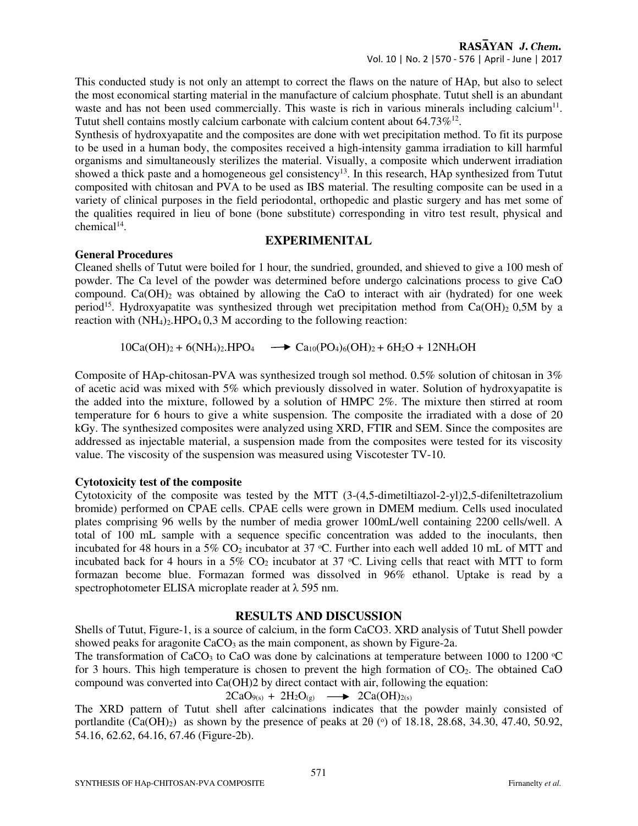This conducted study is not only an attempt to correct the flaws on the nature of HAp, but also to select the most economical starting material in the manufacture of calcium phosphate. Tutut shell is an abundant waste and has not been used commercially. This waste is rich in various minerals including calcium<sup>11</sup>. Tutut shell contains mostly calcium carbonate with calcium content about  $64.73\%^{12}$ .

Synthesis of hydroxyapatite and the composites are done with wet precipitation method. To fit its purpose to be used in a human body, the composites received a high-intensity gamma irradiation to kill harmful organisms and simultaneously sterilizes the material. Visually, a composite which underwent irradiation showed a thick paste and a homogeneous gel consistency<sup>13</sup>. In this research, HAp synthesized from Tutut composited with chitosan and PVA to be used as IBS material. The resulting composite can be used in a variety of clinical purposes in the field periodontal, orthopedic and plastic surgery and has met some of the qualities required in lieu of bone (bone substitute) corresponding in vitro test result, physical and chemical<sup>14</sup>.

# **EXPERIMENITAL**

#### **General Procedures**

Cleaned shells of Tutut were boiled for 1 hour, the sundried, grounded, and shieved to give a 100 mesh of powder. The Ca level of the powder was determined before undergo calcinations process to give CaO compound.  $Ca(OH)$ <sub>2</sub> was obtained by allowing the CaO to interact with air (hydrated) for one week period<sup>15</sup>. Hydroxyapatite was synthesized through wet precipitation method from Ca(OH)<sub>2</sub> 0,5M by a reaction with  $(NH_4)_2$ . HPO<sub>4</sub> 0,3 M according to the following reaction:

 $10Ca(OH)_2 + 6(NH_4)_2.HPO_4 \longrightarrow Ca_{10}(PO_4)_6(OH)_2 + 6H_2O + 12NH_4OH$ 

Composite of HAp-chitosan-PVA was synthesized trough sol method. 0.5% solution of chitosan in 3% of acetic acid was mixed with 5% which previously dissolved in water. Solution of hydroxyapatite is the added into the mixture, followed by a solution of HMPC 2%. The mixture then stirred at room temperature for 6 hours to give a white suspension. The composite the irradiated with a dose of 20 kGy. The synthesized composites were analyzed using XRD, FTIR and SEM. Since the composites are addressed as injectable material, a suspension made from the composites were tested for its viscosity value. The viscosity of the suspension was measured using Viscotester TV-10.

#### **Cytotoxicity test of the composite**

Cytotoxicity of the composite was tested by the MTT (3-(4,5-dimetiltiazol-2-yl)2,5-difeniltetrazolium bromide) performed on CPAE cells. CPAE cells were grown in DMEM medium. Cells used inoculated plates comprising 96 wells by the number of media grower 100mL/well containing 2200 cells/well. A total of 100 mL sample with a sequence specific concentration was added to the inoculants, then incubated for 48 hours in a 5%  $CO<sub>2</sub>$  incubator at 37 °C. Further into each well added 10 mL of MTT and incubated back for 4 hours in a 5%  $CO<sub>2</sub>$  incubator at 37 °C. Living cells that react with MTT to form formazan become blue. Formazan formed was dissolved in 96% ethanol. Uptake is read by a spectrophotometer ELISA microplate reader at λ 595 nm.

#### **RESULTS AND DISCUSSION**

Shells of Tutut, Figure-1, is a source of calcium, in the form CaCO3. XRD analysis of Tutut Shell powder showed peaks for aragonite  $CaCO<sub>3</sub>$  as the main component, as shown by Figure-2a.

The transformation of CaCO<sub>3</sub> to CaO was done by calcinations at temperature between 1000 to 1200  $\degree$ C for 3 hours. This high temperature is chosen to prevent the high formation of  $CO<sub>2</sub>$ . The obtained CaO compound was converted into Ca(OH)2 by direct contact with air, following the equation:

$$
2CaO_{9(s)} + 2H_2O_{(g)} \longrightarrow 2Ca(OH)_{2(s)}
$$

The XRD pattern of Tutut shell after calcinations indicates that the powder mainly consisted of portlandite  $(Ca(OH)_2)$  as shown by the presence of peaks at  $2\theta$  ( $\circ$ ) of 18.18, 28.68, 34.30, 47.40, 50.92, 54.16, 62.62, 64.16, 67.46 (Figure-2b).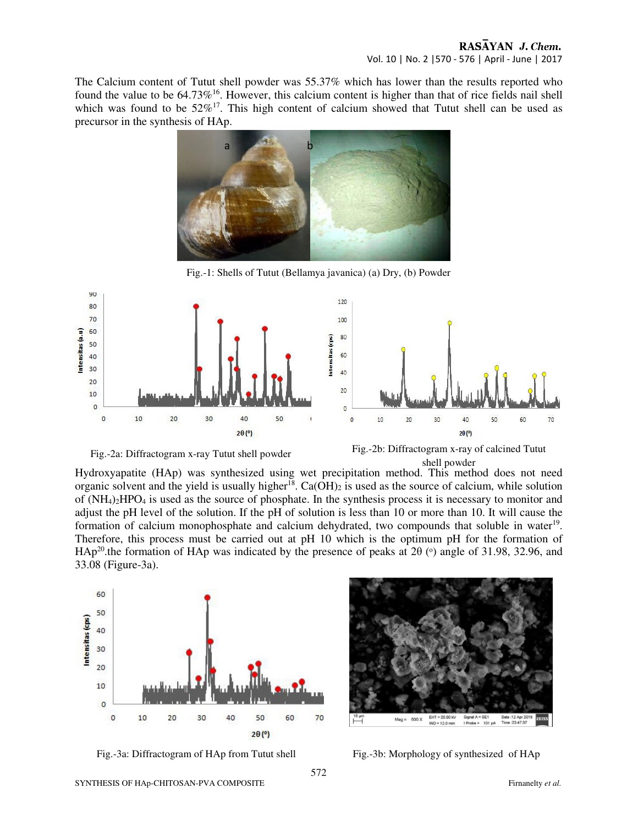The Calcium content of Tutut shell powder was 55.37% which has lower than the results reported who found the value to be  $64.73\%$ <sup>16</sup>. However, this calcium content is higher than that of rice fields nail shell which was found to be  $52\%^{17}$ . This high content of calcium showed that Tutut shell can be used as precursor in the synthesis of HAp.



Fig.-1: Shells of Tutut (Bellamya javanica) (a) Dry, (b) Powder





Fig.-2a: Diffractogram x-ray Tutut shell powder Fig.-2b: Diffractogram x-ray of calcined Tutut shell powder

Hydroxyapatite (HAp) was synthesized using wet precipitation method. This method does not need organic solvent and the yield is usually higher<sup>18</sup>. Ca(OH)<sub>2</sub> is used as the source of calcium, while solution of (NH4)2HPO4 is used as the source of phosphate. In the synthesis process it is necessary to monitor and adjust the pH level of the solution. If the pH of solution is less than 10 or more than 10. It will cause the formation of calcium monophosphate and calcium dehydrated, two compounds that soluble in water<sup>19</sup>. Therefore, this process must be carried out at pH 10 which is the optimum pH for the formation of HAp<sup>20</sup> the formation of HAp was indicated by the presence of peaks at 2 $\theta$  ( $\circ$ ) angle of 31.98, 32.96, and 33.08 (Figure-3a).





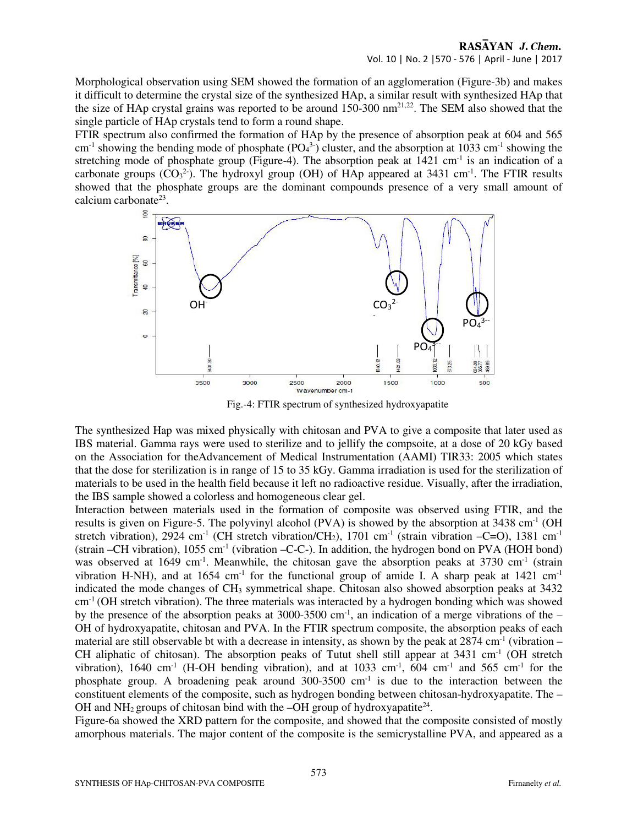## RASAYAN J. Chem. Vol. 10 | No. 2 |570 - 576 | April - June | 2017

Morphological observation using SEM showed the formation of an agglomeration (Figure-3b) and makes it difficult to determine the crystal size of the synthesized HAp, a similar result with synthesized HAp that the size of HAp crystal grains was reported to be around  $150-300 \text{ nm}^{21,22}$ . The SEM also showed that the single particle of HAp crystals tend to form a round shape.

FTIR spectrum also confirmed the formation of HAp by the presence of absorption peak at 604 and 565  $cm<sup>-1</sup>$  showing the bending mode of phosphate (PO<sub>4</sub><sup>3-</sup>) cluster, and the absorption at 1033 cm<sup>-1</sup> showing the stretching mode of phosphate group (Figure-4). The absorption peak at  $1421 \text{ cm}^{-1}$  is an indication of a carbonate groups  $(CO_3^2)$ . The hydroxyl group (OH) of HAp appeared at 3431 cm<sup>-1</sup>. The FTIR results showed that the phosphate groups are the dominant compounds presence of a very small amount of calcium carbonate<sup>23</sup>.



Fig.-4: FTIR spectrum of synthesized hydroxyapatite

The synthesized Hap was mixed physically with chitosan and PVA to give a composite that later used as IBS material. Gamma rays were used to sterilize and to jellify the compsoite, at a dose of 20 kGy based on the Association for theAdvancement of Medical Instrumentation (AAMI) TIR33: 2005 which states that the dose for sterilization is in range of 15 to 35 kGy. Gamma irradiation is used for the sterilization of materials to be used in the health field because it left no radioactive residue. Visually, after the irradiation, the IBS sample showed a colorless and homogeneous clear gel.

Interaction between materials used in the formation of composite was observed using FTIR, and the results is given on Figure-5. The polyvinyl alcohol (PVA) is showed by the absorption at 3438 cm<sup>-1</sup> (OH) stretch vibration), 2924 cm<sup>-1</sup> (CH stretch vibration/CH<sub>2</sub>), 1701 cm<sup>-1</sup> (strain vibration –C=O), 1381 cm<sup>-1</sup> (strain –CH vibration),  $1055 \text{ cm}^{-1}$  (vibration –C-C-). In addition, the hydrogen bond on PVA (HOH bond) was observed at 1649 cm<sup>-1</sup>. Meanwhile, the chitosan gave the absorption peaks at 3730 cm<sup>-1</sup> (strain vibration H-NH), and at  $1654 \text{ cm}^{-1}$  for the functional group of amide I. A sharp peak at  $1421 \text{ cm}^{-1}$ indicated the mode changes of  $CH_3$  symmetrical shape. Chitosan also showed absorption peaks at 3432 cm-1 (OH stretch vibration). The three materials was interacted by a hydrogen bonding which was showed by the presence of the absorption peaks at 3000-3500 cm<sup>-1</sup>, an indication of a merge vibrations of the – OH of hydroxyapatite, chitosan and PVA. In the FTIR spectrum composite, the absorption peaks of each material are still observable bt with a decrease in intensity, as shown by the peak at  $2874 \text{ cm}^{-1}$  (vibration – CH aliphatic of chitosan). The absorption peaks of Tutut shell still appear at 3431 cm<sup>-1</sup> (OH stretch vibration), 1640 cm<sup>-1</sup> (H-OH bending vibration), and at 1033 cm<sup>-1</sup>,  $\overline{604}$  cm<sup>-1</sup> and 565 cm<sup>-1</sup> for the phosphate group. A broadening peak around  $300-3500$  cm<sup>-1</sup> is due to the interaction between the constituent elements of the composite, such as hydrogen bonding between chitosan-hydroxyapatite. The – OH and NH<sub>2</sub> groups of chitosan bind with the  $-OH$  group of hydroxyapatite<sup>24</sup>.

Figure-6a showed the XRD pattern for the composite, and showed that the composite consisted of mostly amorphous materials. The major content of the composite is the semicrystalline PVA, and appeared as a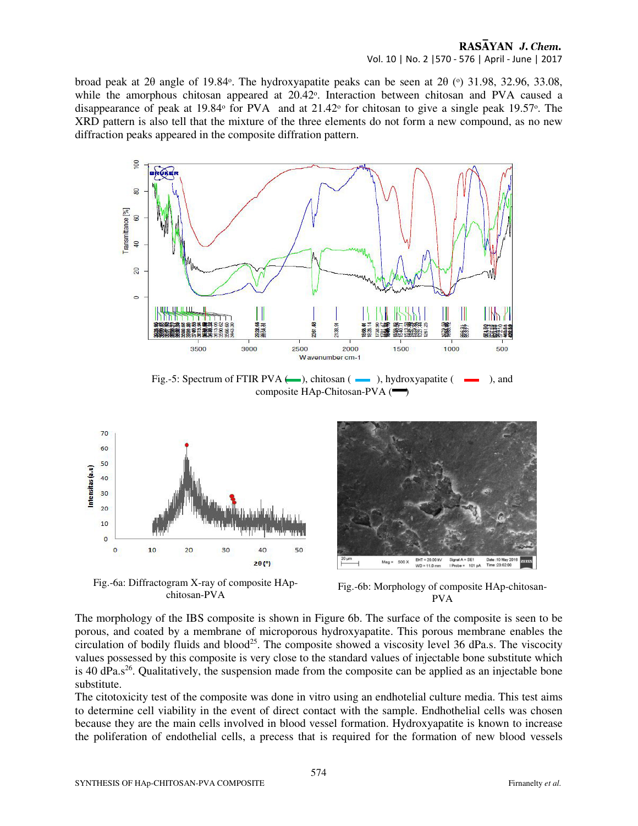### RASAYAN J. Chem. Vol. 10 | No. 2 |570 - 576 | April - June | 2017

broad peak at 2 $\theta$  angle of 19.84°. The hydroxyapatite peaks can be seen at 2 $\theta$  (°) 31.98, 32.96, 33.08, while the amorphous chitosan appeared at 20.42°. Interaction between chitosan and PVA caused a disappearance of peak at 19.84 $\degree$  for PVA and at 21.42 $\degree$  for chitosan to give a single peak 19.57 $\degree$ . The XRD pattern is also tell that the mixture of the three elements do not form a new compound, as no new diffraction peaks appeared in the composite diffration pattern.



Fig.-5: Spectrum of FTIR PVA  $(\_\_\_\)_$ , chitosan ( $\_\_\_\$ ), hydroxyapatite ( $\_\_\_\_\$ ), and composite HAp-Chitosan-PVA  $(\blacksquare)$ 



Fig.-6a: Diffractogram X-ray of composite HApchitosan-PVA



Fig.-6b: Morphology of composite HAp-chitosan-PVA

The morphology of the IBS composite is shown in Figure 6b. The surface of the composite is seen to be porous, and coated by a membrane of microporous hydroxyapatite. This porous membrane enables the circulation of bodily fluids and blood<sup>25</sup>. The composite showed a viscosity level 36 dPa.s. The viscocity values possessed by this composite is very close to the standard values of injectable bone substitute which is 40 dPa. $s^{26}$ . Qualitatively, the suspension made from the composite can be applied as an injectable bone substitute.

The citotoxicity test of the composite was done in vitro using an endhotelial culture media. This test aims to determine cell viability in the event of direct contact with the sample. Endhothelial cells was chosen because they are the main cells involved in blood vessel formation. Hydroxyapatite is known to increase the poliferation of endothelial cells, a precess that is required for the formation of new blood vessels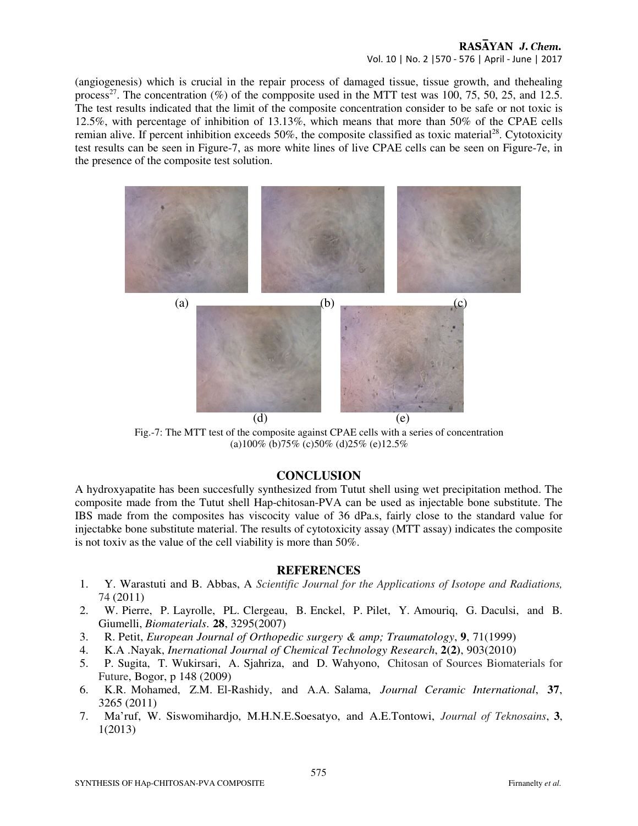#### RASAYAN J. Chem. Vol. 10 | No. 2 |570 - 576 | April - June | 2017

(angiogenesis) which is crucial in the repair process of damaged tissue, tissue growth, and thehealing process<sup>27</sup>. The concentration  $(\%)$  of the compposite used in the MTT test was 100, 75, 50, 25, and 12.5. The test results indicated that the limit of the composite concentration consider to be safe or not toxic is 12.5%, with percentage of inhibition of 13.13%, which means that more than 50% of the CPAE cells remian alive. If percent inhibition exceeds  $50\%$ , the composite classified as toxic material<sup>28</sup>. Cytotoxicity test results can be seen in Figure-7, as more white lines of live CPAE cells can be seen on Figure-7e, in the presence of the composite test solution.



Fig.-7: The MTT test of the composite against CPAE cells with a series of concentration (a)100% (b)75% (c)50% (d)25% (e)12.5%

#### **CONCLUSION**

A hydroxyapatite has been succesfully synthesized from Tutut shell using wet precipitation method. The composite made from the Tutut shell Hap-chitosan-PVA can be used as injectable bone substitute. The IBS made from the composites has viscocity value of 36 dPa.s, fairly close to the standard value for injectabke bone substitute material. The results of cytotoxicity assay (MTT assay) indicates the composite is not toxiv as the value of the cell viability is more than 50%.

#### **REFERENCES**

- 1. Y. Warastuti and B. Abbas, A *Scientific Journal for the Applications of Isotope and Radiations,*  74 (2011)
- 2. W. Pierre, P. Layrolle, PL. Clergeau, B. Enckel, P. Pilet, Y. Amouriq, G. Daculsi, and B. Giumelli, *Biomaterials*. **28**, 3295(2007)
- 3. R. Petit, *European Journal of Orthopedic surgery & amp; Traumatology*, **9**, 71(1999)
- 4. K.A .Nayak, *Inernational Journal of Chemical Technology Research*, **2(2)**, 903(2010)
- 5. P. Sugita, T. Wukirsari, A. Sjahriza, and D. Wahyono, Chitosan of Sources Biomaterials for Future, Bogor, p 148 (2009)
- 6. K.R. Mohamed, Z.M. El-Rashidy, and A.A. Salama, *Journal Ceramic International*, **37**, 3265 (2011)
- 7. Ma'ruf, W. Siswomihardjo, M.H.N.E.Soesatyo, and A.E.Tontowi, *Journal of Teknosains*, **3**, 1(2013)